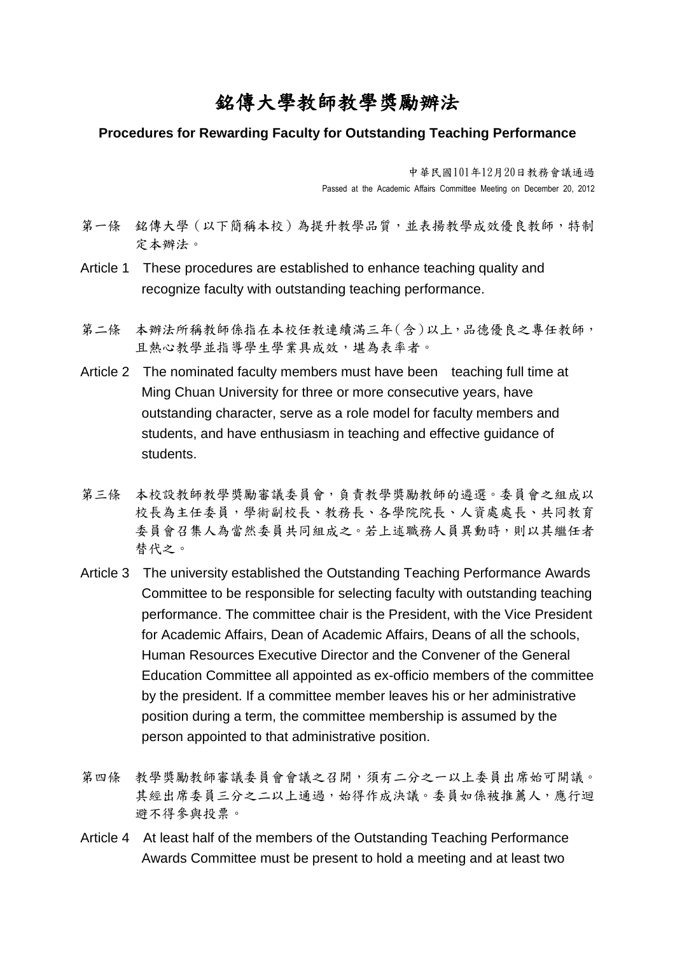## 銘傳大學教師教學獎勵辦法

## **Procedures for Rewarding Faculty for Outstanding Teaching Performance**

中華民國101年12月20日教務會議通過 Passed at the Academic Affairs Committee Meeting on December 20, 2012

- 第一條 銘傳大學(以下簡稱本校)為提升教學品質,並表揚教學成效優良教師,特制 定本辦法。
- Article 1 These procedures are established to enhance teaching quality and recognize faculty with outstanding teaching performance.
- 第二條 本辦法所稱教師係指在本校任教連續滿三年(含)以上,品德優良之專任教師, 且熱心教學並指導學生學業具成效,堪為表率者。
- Article 2 The nominated faculty members must have been teaching full time at Ming Chuan University for three or more consecutive years, have outstanding character, serve as a role model for faculty members and students, and have enthusiasm in teaching and effective guidance of students.
- 第三條 本校設教師教學獎勵審議委員會,負責教學獎勵教師的遴選。委員會之組成以 校長為主任委員,學術副校長、教務長、各學院院長、人資處處長、共同教育 委員會召集人為當然委員共同組成之。若上述職務人員異動時,則以其繼任者 替代之。
- Article 3 The university established the Outstanding Teaching Performance Awards Committee to be responsible for selecting faculty with outstanding teaching performance. The committee chair is the President, with the Vice President for Academic Affairs, Dean of Academic Affairs, Deans of all the schools, Human Resources Executive Director and the Convener of the General Education Committee all appointed as ex-officio members of the committee by the president. If a committee member leaves his or her administrative position during a term, the committee membership is assumed by the person appointed to that administrative position.
- 第四條 教學獎勵教師審議委員會會議之召開,須有二分之一以上委員出席始可開議。 其經出席委員三分之二以上通過,始得作成決議。委員如係被推薦人,應行迴 避不得參與投票。
- Article 4 At least half of the members of the Outstanding Teaching Performance Awards Committee must be present to hold a meeting and at least two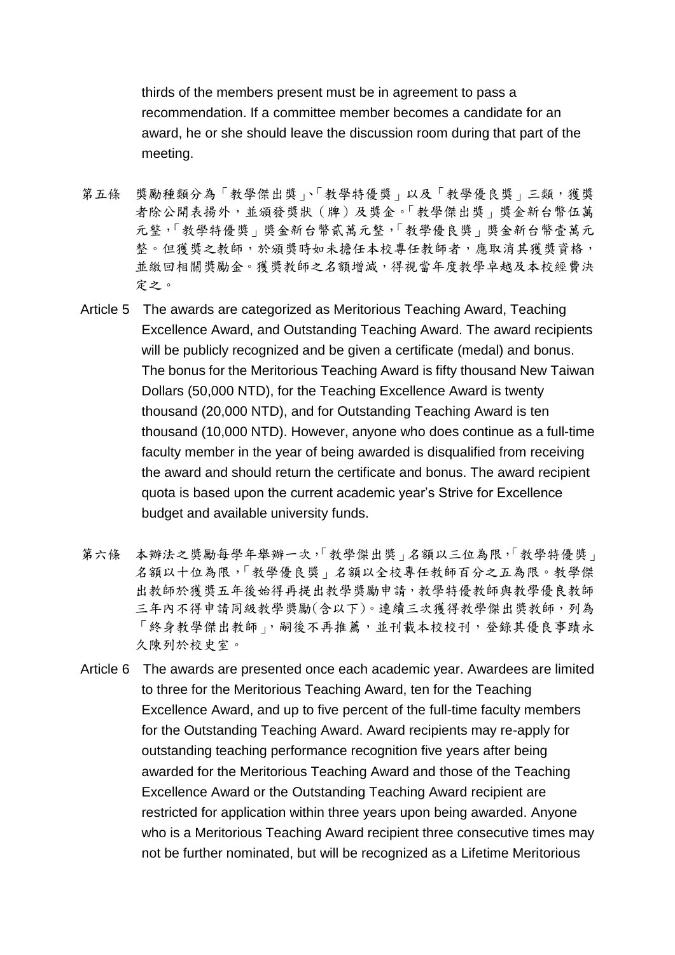thirds of the members present must be in agreement to pass a recommendation. If a committee member becomes a candidate for an award, he or she should leave the discussion room during that part of the meeting.

- 第五條 獎勵種類分為「教學傑出獎」、「教學特優獎」以及「教學優良獎」三類,獲獎 者除公開表揚外,並頒發獎狀(牌)及獎金。「教學傑出獎」獎金新台幣伍萬 元整,「教學特優獎」獎金新台幣貳萬元整,「教學優良獎」獎金新台幣壹萬元 整。但獲獎之教師,於頒獎時如未擔任本校專任教師者,應取消其獲獎資格, 並繳回相關獎勵金。獲獎教師之名額增減,得視當年度教學卓越及本校經費決 定之。
- Article 5 The awards are categorized as Meritorious Teaching Award, Teaching Excellence Award, and Outstanding Teaching Award. The award recipients will be publicly recognized and be given a certificate (medal) and bonus. The bonus for the Meritorious Teaching Award is fifty thousand New Taiwan Dollars (50,000 NTD), for the Teaching Excellence Award is twenty thousand (20,000 NTD), and for Outstanding Teaching Award is ten thousand (10,000 NTD). However, anyone who does continue as a full-time faculty member in the year of being awarded is disqualified from receiving the award and should return the certificate and bonus. The award recipient quota is based upon the current academic year's Strive for Excellence budget and available university funds.
- 第六條 本辦法之獎勵每學年舉辦一次,「教學傑出獎」名額以三位為限,「教學特優獎」 名額以十位為限,「教學優良獎」名額以全校專任教師百分之五為限。教學傑 出教師於獲獎五年後始得再提出教學獎勵申請,教學特優教師與教學優良教師 三年內不得申請同級教學獎勵(含以下)。連續三次獲得教學傑出獎教師,列為 「終身教學傑出教師」,嗣後不再推薦,並刊載本校校刊,登錄其優良事蹟永 久陳列於校史室。
- Article 6 The awards are presented once each academic year. Awardees are limited to three for the Meritorious Teaching Award, ten for the Teaching Excellence Award, and up to five percent of the full-time faculty members for the Outstanding Teaching Award. Award recipients may re-apply for outstanding teaching performance recognition five years after being awarded for the Meritorious Teaching Award and those of the Teaching Excellence Award or the Outstanding Teaching Award recipient are restricted for application within three years upon being awarded. Anyone who is a Meritorious Teaching Award recipient three consecutive times may not be further nominated, but will be recognized as a Lifetime Meritorious